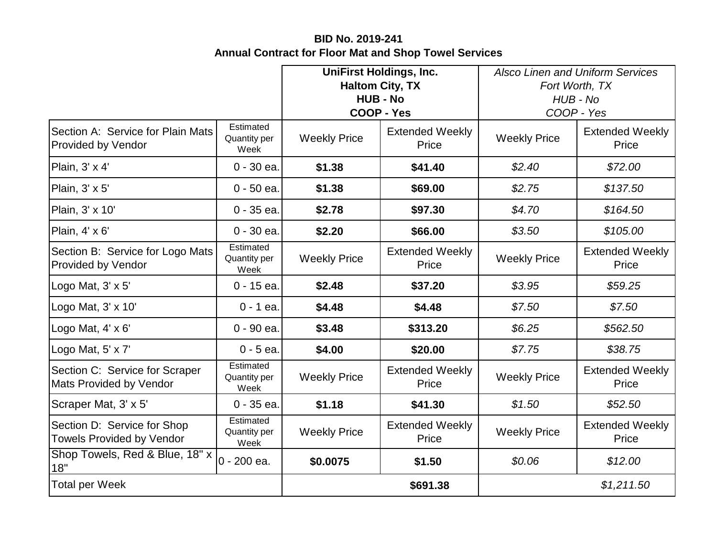## **BID No. 2019-241 Annual Contract for Floor Mat and Shop Towel Services**

|                                                                 |                                   | <b>UniFirst Holdings, Inc.</b><br><b>Haltom City, TX</b><br><b>HUB - No</b><br><b>COOP - Yes</b> |                                 | <b>Alsco Linen and Uniform Services</b><br>Fort Worth, TX<br>HUB - No<br>COOP - Yes |                                 |
|-----------------------------------------------------------------|-----------------------------------|--------------------------------------------------------------------------------------------------|---------------------------------|-------------------------------------------------------------------------------------|---------------------------------|
| Section A: Service for Plain Mats<br>Provided by Vendor         | Estimated<br>Quantity per<br>Week | <b>Weekly Price</b>                                                                              | <b>Extended Weekly</b><br>Price | <b>Weekly Price</b>                                                                 | <b>Extended Weekly</b><br>Price |
| Plain, 3' x 4'                                                  | 0 - 30 ea.                        | \$1.38                                                                                           | \$41.40                         | \$2.40                                                                              | \$72.00                         |
| Plain, 3' x 5'                                                  | $0 - 50$ ea.                      | \$1.38                                                                                           | \$69.00                         | \$2.75                                                                              | \$137.50                        |
| Plain, 3' x 10'                                                 | $0 - 35$ ea.                      | \$2.78                                                                                           | \$97.30                         | \$4.70                                                                              | \$164.50                        |
| Plain, 4' x 6'                                                  | $0 - 30$ ea.                      | \$2.20                                                                                           | \$66.00                         | \$3.50                                                                              | \$105.00                        |
| Section B: Service for Logo Mats<br><b>Provided by Vendor</b>   | Estimated<br>Quantity per<br>Week | <b>Weekly Price</b>                                                                              | <b>Extended Weekly</b><br>Price | <b>Weekly Price</b>                                                                 | <b>Extended Weekly</b><br>Price |
| Logo Mat, 3' x 5'                                               | 0 - 15 ea.                        | \$2.48                                                                                           | \$37.20                         | \$3.95                                                                              | \$59.25                         |
| Logo Mat, 3' x 10'                                              | $0 - 1$ ea.                       | \$4.48                                                                                           | \$4.48                          | \$7.50                                                                              | \$7.50                          |
| Logo Mat, 4' x 6'                                               | 0 - 90 ea.                        | \$3.48                                                                                           | \$313.20                        | \$6.25                                                                              | \$562.50                        |
| Logo Mat, 5' x 7'                                               | $0 - 5$ ea.                       | \$4.00                                                                                           | \$20.00                         | \$7.75                                                                              | \$38.75                         |
| Section C: Service for Scraper<br>Mats Provided by Vendor       | Estimated<br>Quantity per<br>Week | <b>Weekly Price</b>                                                                              | <b>Extended Weekly</b><br>Price | <b>Weekly Price</b>                                                                 | <b>Extended Weekly</b><br>Price |
| Scraper Mat, 3' x 5'                                            | $0 - 35$ ea.                      | \$1.18                                                                                           | \$41.30                         | \$1.50                                                                              | \$52.50                         |
| Section D: Service for Shop<br><b>Towels Provided by Vendor</b> | Estimated<br>Quantity per<br>Week | <b>Weekly Price</b>                                                                              | <b>Extended Weekly</b><br>Price | <b>Weekly Price</b>                                                                 | <b>Extended Weekly</b><br>Price |
| Shop Towels, Red & Blue, 18" x<br>18"                           | $0 - 200$ ea.                     | \$0.0075                                                                                         | \$1.50                          | \$0.06                                                                              | \$12.00                         |
| <b>Total per Week</b>                                           |                                   |                                                                                                  | \$691.38                        |                                                                                     | \$1,211.50                      |